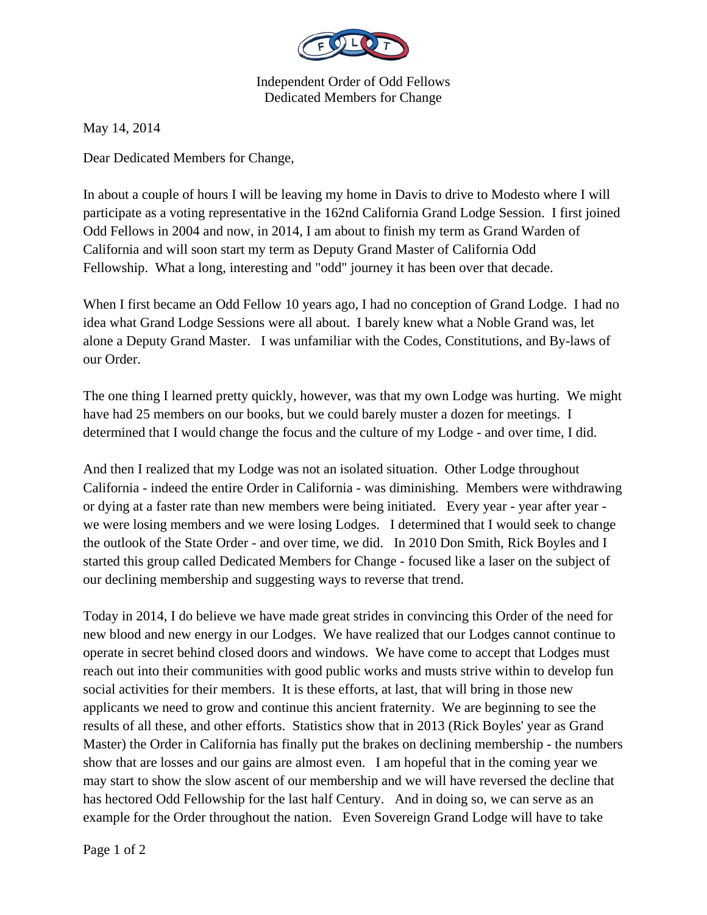

Independent Order of Odd Fellows Dedicated Members for Change

May 14, 2014

Dear Dedicated Members for Change,

In about a couple of hours I will be leaving my home in Davis to drive to Modesto where I will participate as a voting representative in the 162nd California Grand Lodge Session. I first joined Odd Fellows in 2004 and now, in 2014, I am about to finish my term as Grand Warden of California and will soon start my term as Deputy Grand Master of California Odd Fellowship. What a long, interesting and "odd" journey it has been over that decade.

When I first became an Odd Fellow 10 years ago, I had no conception of Grand Lodge. I had no idea what Grand Lodge Sessions were all about. I barely knew what a Noble Grand was, let alone a Deputy Grand Master. I was unfamiliar with the Codes, Constitutions, and By-laws of our Order.

The one thing I learned pretty quickly, however, was that my own Lodge was hurting. We might have had 25 members on our books, but we could barely muster a dozen for meetings. I determined that I would change the focus and the culture of my Lodge - and over time, I did.

And then I realized that my Lodge was not an isolated situation. Other Lodge throughout California - indeed the entire Order in California - was diminishing. Members were withdrawing or dying at a faster rate than new members were being initiated. Every year - year after year we were losing members and we were losing Lodges. I determined that I would seek to change the outlook of the State Order - and over time, we did. In 2010 Don Smith, Rick Boyles and I started this group called Dedicated Members for Change - focused like a laser on the subject of our declining membership and suggesting ways to reverse that trend.

Today in 2014, I do believe we have made great strides in convincing this Order of the need for new blood and new energy in our Lodges. We have realized that our Lodges cannot continue to operate in secret behind closed doors and windows. We have come to accept that Lodges must reach out into their communities with good public works and musts strive within to develop fun social activities for their members. It is these efforts, at last, that will bring in those new applicants we need to grow and continue this ancient fraternity. We are beginning to see the results of all these, and other efforts. Statistics show that in 2013 (Rick Boyles' year as Grand Master) the Order in California has finally put the brakes on declining membership - the numbers show that are losses and our gains are almost even. I am hopeful that in the coming year we may start to show the slow ascent of our membership and we will have reversed the decline that has hectored Odd Fellowship for the last half Century. And in doing so, we can serve as an example for the Order throughout the nation. Even Sovereign Grand Lodge will have to take